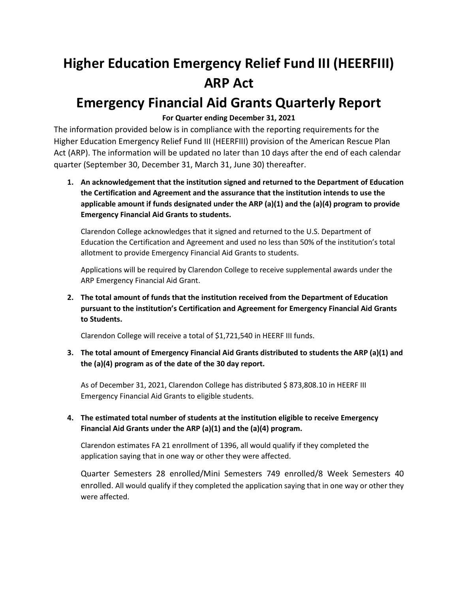# **Higher Education Emergency Relief Fund III (HEERFIII) ARP Act**

# **Emergency Financial Aid Grants Quarterly Report**

# **For Quarter ending December 31, 2021**

The information provided below is in compliance with the reporting requirements for the Higher Education Emergency Relief Fund III (HEERFIII) provision of the American Rescue Plan Act (ARP). The information will be updated no later than 10 days after the end of each calendar quarter (September 30, December 31, March 31, June 30) thereafter.

**1. An acknowledgement that the institution signed and returned to the Department of Education the Certification and Agreement and the assurance that the institution intends to use the applicable amount if funds designated under the ARP (a)(1) and the (a)(4) program to provide Emergency Financial Aid Grants to students.**

Clarendon College acknowledges that it signed and returned to the U.S. Department of Education the Certification and Agreement and used no less than 50% of the institution's total allotment to provide Emergency Financial Aid Grants to students.

Applications will be required by Clarendon College to receive supplemental awards under the ARP Emergency Financial Aid Grant.

**2. The total amount of funds that the institution received from the Department of Education pursuant to the institution's Certification and Agreement for Emergency Financial Aid Grants to Students.** 

Clarendon College will receive a total of \$1,721,540 in HEERF III funds.

**3. The total amount of Emergency Financial Aid Grants distributed to students the ARP (a)(1) and the (a)(4) program as of the date of the 30 day report.**

As of December 31, 2021, Clarendon College has distributed \$ 873,808.10 in HEERF III Emergency Financial Aid Grants to eligible students.

**4. The estimated total number of students at the institution eligible to receive Emergency Financial Aid Grants under the ARP (a)(1) and the (a)(4) program.**

Clarendon estimates FA 21 enrollment of 1396, all would qualify if they completed the application saying that in one way or other they were affected.

Quarter Semesters 28 enrolled/Mini Semesters 749 enrolled/8 Week Semesters 40 enrolled. All would qualify if they completed the application saying that in one way or other they were affected.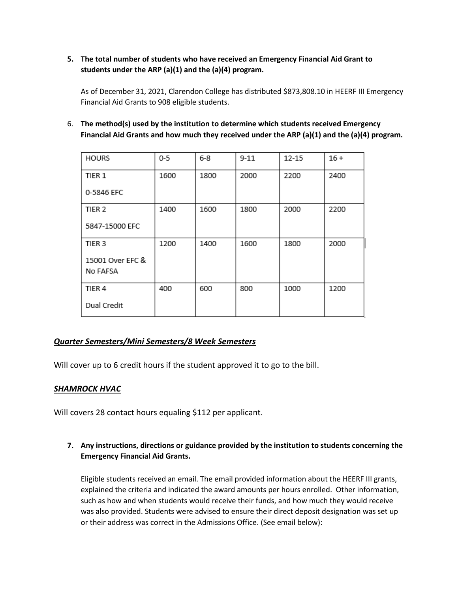#### **5. The total number of students who have received an Emergency Financial Aid Grant to students under the ARP (a)(1) and the (a)(4) program.**

As of December 31, 2021, Clarendon College has distributed \$873,808.10 in HEERF III Emergency Financial Aid Grants to 908 eligible students.

6. **The method(s) used by the institution to determine which students received Emergency Financial Aid Grants and how much they received under the ARP (a)(1) and the (a)(4) program.**

| <b>HOURS</b>      | $0 - 5$ | $6 - 8$ | $9 - 11$ | $12 - 15$ | $16 +$ |
|-------------------|---------|---------|----------|-----------|--------|
| TIER 1            | 1600    | 1800    | 2000     | 2200      | 2400   |
| 0-5846 EFC        |         |         |          |           |        |
| TIER <sub>2</sub> | 1400    | 1600    | 1800     | 2000      | 2200   |
| 5847-15000 EFC    |         |         |          |           |        |
| TIER <sub>3</sub> | 1200    | 1400    | 1600     | 1800      | 2000   |
| 15001 Over EFC &  |         |         |          |           |        |
| No FAFSA          |         |         |          |           |        |
| TIER 4            | 400     | 600     | 800      | 1000      | 1200   |
| Dual Credit       |         |         |          |           |        |

# *Quarter Semesters/Mini Semesters/8 Week Semesters*

Will cover up to 6 credit hours if the student approved it to go to the bill.

#### *SHAMROCK HVAC*

Will covers 28 contact hours equaling \$112 per applicant.

**7. Any instructions, directions or guidance provided by the institution to students concerning the Emergency Financial Aid Grants.** 

Eligible students received an email. The email provided information about the HEERF III grants, explained the criteria and indicated the award amounts per hours enrolled. Other information, such as how and when students would receive their funds, and how much they would receive was also provided. Students were advised to ensure their direct deposit designation was set up or their address was correct in the Admissions Office. (See email below):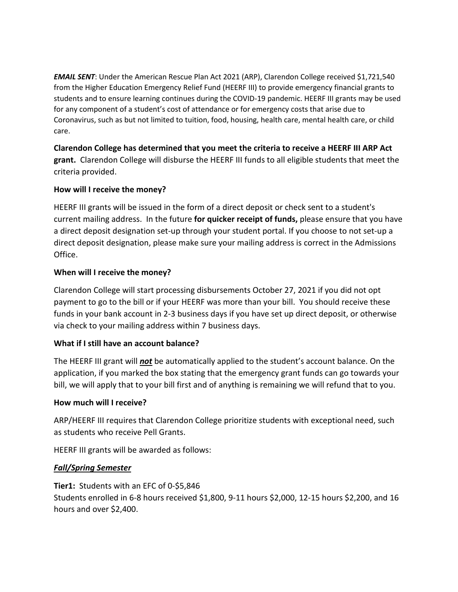*EMAIL SENT*: Under the American Rescue Plan Act 2021 (ARP), Clarendon College received \$1,721,540 from the Higher Education Emergency Relief Fund (HEERF III) to provide emergency financial grants to students and to ensure learning continues during the COVID-19 pandemic. HEERF III grants may be used for any component of a student's cost of attendance or for emergency costs that arise due to Coronavirus, such as but not limited to tuition, food, housing, health care, mental health care, or child care.

**Clarendon College has determined that you meet the criteria to receive a HEERF III ARP Act grant.** Clarendon College will disburse the HEERF III funds to all eligible students that meet the criteria provided.

# **How will I receive the money?**

HEERF III grants will be issued in the form of a direct deposit or check sent to a student's current mailing address. In the future **for quicker receipt of funds,** please ensure that you have a direct deposit designation set-up through your student portal. If you choose to not set-up a direct deposit designation, please make sure your mailing address is correct in the Admissions Office.

# **When will I receive the money?**

Clarendon College will start processing disbursements October 27, 2021 if you did not opt payment to go to the bill or if your HEERF was more than your bill. You should receive these funds in your bank account in 2-3 business days if you have set up direct deposit, or otherwise via check to your mailing address within 7 business days.

# **What if I still have an account balance?**

The HEERF III grant will *not* be automatically applied to the student's account balance. On the application, if you marked the box stating that the emergency grant funds can go towards your bill, we will apply that to your bill first and of anything is remaining we will refund that to you.

# **How much will I receive?**

ARP/HEERF III requires that Clarendon College prioritize students with exceptional need, such as students who receive Pell Grants.

HEERF III grants will be awarded as follows:

# *Fall/Spring Semester*

**Tier1:** Students with an EFC of 0-\$5,846 Students enrolled in 6-8 hours received \$1,800, 9-11 hours \$2,000, 12-15 hours \$2,200, and 16 hours and over \$2,400.